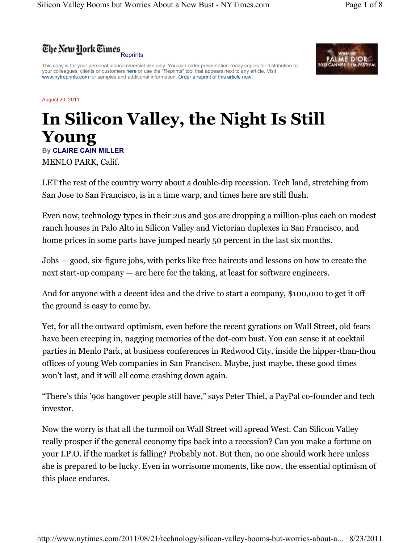

This copy is for your personal, noncommercial use only. You can order presentation-ready copies for distribution to your colleagues, clients or customers here or use the "Reprints" tool that appears next to any article. Visit www.nytreprints.com for samples and additional information. Order a reprint of this article now.



August 20, 2011

## **In Silicon Valley, the Night Is Still Young By CLAIRE CAIN MILLER**

MENLO PARK, Calif.

LET the rest of the country worry about a double-dip recession. Tech land, stretching from San Jose to San Francisco, is in a time warp, and times here are still flush.

Even now, technology types in their 20s and 30s are dropping a million-plus each on modest ranch houses in Palo Alto in Silicon Valley and Victorian duplexes in San Francisco, and home prices in some parts have jumped nearly 50 percent in the last six months.

 $Jobs - good$ , six-figure jobs, with perks like free haircuts and lessons on how to create the next start-up company  $-$  are here for the taking, at least for software engineers.

And for anyone with a decent idea and the drive to start a company, \$100,000 to get it off the ground is easy to come by.

Yet, for all the outward optimism, even before the recent gyrations on Wall Street, old fears have been creeping in, nagging memories of the dot-com bust. You can sense it at cocktail parties in Menlo Park, at business conferences in Redwood City, inside the hipper-than-thou offices of young Web companies in San Francisco. Maybe, just maybe, these good times won't last, and it will all come crashing down again.

"There's this '90s hangover people still have," says Peter Thiel, a PayPal co-founder and tech investor.

Now the worry is that all the turmoil on Wall Street will spread West. Can Silicon Valley really prosper if the general economy tips back into a recession? Can you make a fortune on your I.P.O. if the market is falling? Probably not. But then, no one should work here unless she is prepared to be lucky. Even in worrisome moments, like now, the essential optimism of this place endures.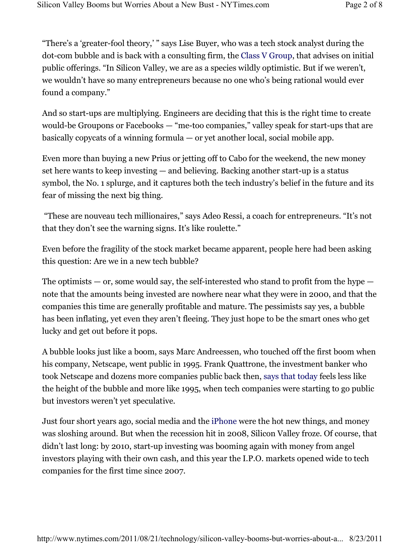"There's a 'greater-fool theory,' " says Lise Buyer, who was a tech stock analyst during the dot-com bubble and is back with a consulting firm, the Class V Group, that advises on initial public offerings. "In Silicon Valley, we are as a species wildly optimistic. But if we weren't, we wouldn't have so many entrepreneurs because no one who's being rational would ever found a company.´

And so start-ups are multiplying. Engineers are deciding that this is the right time to create would-be Groupons or Facebooks  $-$  "me-too companies," valley speak for start-ups that are basically copycats of a winning formula  $-$  or yet another local, social mobile app.

Even more than buying a new Prius or jetting off to Cabo for the weekend, the new money set here wants to keep investing  $-$  and believing. Backing another start-up is a status symbol, the No. 1 splurge, and it captures both the tech industry's belief in the future and its fear of missing the next big thing.

"These are nouveau tech millionaires," says Adeo Ressi, a coach for entrepreneurs. "It's not that they don't see the warning signs. It's like roulette."

Even before the fragility of the stock market became apparent, people here had been asking this question: Are we in a new tech bubble?

The optimists  $-$  or, some would say, the self-interested who stand to profit from the hype  $$ note that the amounts being invested are nowhere near what they were in 2000, and that the companies this time are generally profitable and mature. The pessimists say yes, a bubble has been inflating, yet even they aren't fleeing. They just hope to be the smart ones who get lucky and get out before it pops.

A bubble looks just like a boom, says Marc Andreessen, who touched off the first boom when his company, Netscape, went public in 1995. Frank Quattrone, the investment banker who took Netscape and dozens more companies public back then, says that today feels less like the height of the bubble and more like 1995, when tech companies were starting to go public but investors weren't yet speculative.

Just four short years ago, social media and the iPhone were the hot new things, and money was sloshing around. But when the recession hit in 2008, Silicon Valley froze. Of course, that didn't last long: by 2010, start-up investing was booming again with money from angel investors playing with their own cash, and this year the I.P.O. markets opened wide to tech companies for the first time since 2007.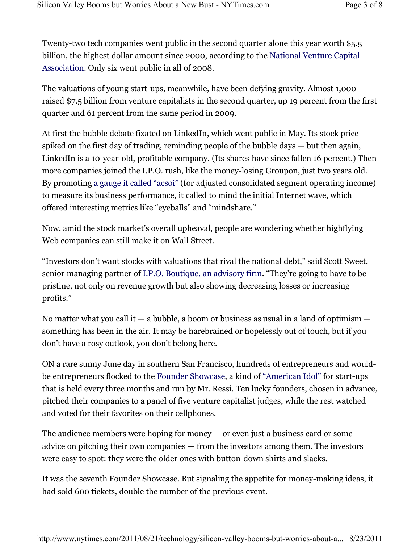Twenty-two tech companies went public in the second quarter alone this year worth \$5.5 billion, the highest dollar amount since 2000, according to the National Venture Capital Association. Only six went public in all of 2008.

The valuations of young start-ups, meanwhile, have been defying gravity. Almost 1,000 raised \$7.5 billion from venture capitalists in the second quarter, up 19 percent from the first quarter and 61 percent from the same period in 2009.

At first the bubble debate fixated on LinkedIn, which went public in May. Its stock price spiked on the first day of trading, reminding people of the bubble days  $-$  but then again, LinkedIn is a 10-year-old, profitable company. (Its shares have since fallen 16 percent.) Then more companies joined the I.P.O. rush, like the money-losing Groupon, just two years old. By promoting a gauge it called "acsoi" (for adjusted consolidated segment operating income) to measure its business performance, it called to mind the initial Internet wave, which offered interesting metrics like "eyeballs" and "mindshare."

Now, amid the stock market's overall upheaval, people are wondering whether highflying Web companies can still make it on Wall Street.

"Investors don't want stocks with valuations that rival the national debt," said Scott Sweet, senior managing partner of I.P.O. Boutique, an advisory firm. "They're going to have to be pristine, not only on revenue growth but also showing decreasing losses or increasing profits."

No matter what you call it  $-$  a bubble, a boom or business as usual in a land of optimism  $$ something has been in the air. It may be harebrained or hopelessly out of touch, but if you don't have a rosy outlook, you don't belong here.

ON a rare sunny June day in southern San Francisco, hundreds of entrepreneurs and wouldbe entrepreneurs flocked to the Founder Showcase, a kind of "American Idol" for start-ups that is held every three months and run by Mr. Ressi. Ten lucky founders, chosen in advance, pitched their companies to a panel of five venture capitalist judges, while the rest watched and voted for their favorites on their cellphones.

The audience members were hoping for money  $-$  or even just a business card or some advice on pitching their own companies  $-$  from the investors among them. The investors were easy to spot: they were the older ones with button-down shirts and slacks.

It was the seventh Founder Showcase. But signaling the appetite for money-making ideas, it had sold 600 tickets, double the number of the previous event.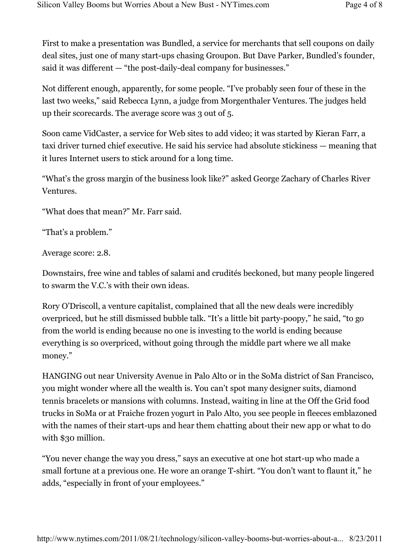First to make a presentation was Bundled, a service for merchants that sell coupons on daily deal sites, just one of many start-ups chasing Groupon. But Dave Parker, Bundled's founder, said it was different  $-$  "the post-daily-deal company for businesses."

Not different enough, apparently, for some people. "I've probably seen four of these in the last two weeks," said Rebecca Lynn, a judge from Morgenthaler Ventures. The judges held up their scorecards. The average score was 3 out of 5.

Soon came VidCaster, a service for Web sites to add video; it was started by Kieran Farr, a taxi driver turned chief executive. He said his service had absolute stickiness  $-$  meaning that it lures Internet users to stick around for a long time.

"What's the gross margin of the business look like?" asked George Zachary of Charles River Ventures.

"What does that mean?" Mr. Farr said.

"That's a problem."

Average score: 2.8.

Downstairs, free wine and tables of salami and crudités beckoned, but many people lingered to swarm the V.C.'s with their own ideas.

Rory O'Driscoll, a venture capitalist, complained that all the new deals were incredibly overpriced, but he still dismissed bubble talk. "It's a little bit party-poopy," he said, "to go from the world is ending because no one is investing to the world is ending because everything is so overpriced, without going through the middle part where we all make money."

HANGING out near University Avenue in Palo Alto or in the SoMa district of San Francisco, you might wonder where all the wealth is. You can't spot many designer suits, diamond tennis bracelets or mansions with columns. Instead, waiting in line at the Off the Grid food trucks in SoMa or at Fraiche frozen yogurt in Palo Alto, you see people in fleeces emblazoned with the names of their start-ups and hear them chatting about their new app or what to do with \$30 million.

³You never change the way you dress,´ says an executive at one hot start-up who made a small fortune at a previous one. He wore an orange T-shirt. "You don't want to flaunt it," he adds, "especially in front of your employees."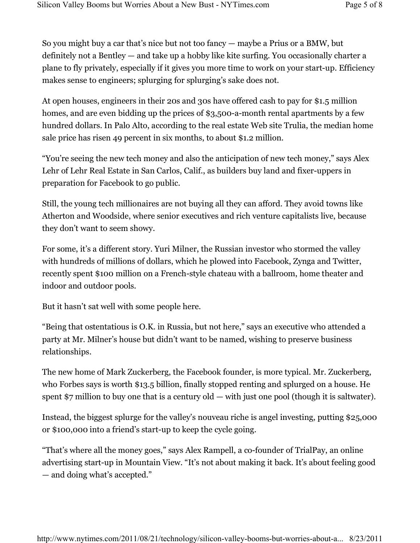So you might buy a car that's nice but not too fancy  $-$  maybe a Prius or a BMW, but definitely not a Bentley  $-$  and take up a hobby like kite surfing. You occasionally charter a plane to fly privately, especially if it gives you more time to work on your start-up. Efficiency makes sense to engineers; splurging for splurging's sake does not.

At open houses, engineers in their 20s and 30s have offered cash to pay for \$1.5 million homes, and are even bidding up the prices of \$3,500-a-month rental apartments by a few hundred dollars. In Palo Alto, according to the real estate Web site Trulia, the median home sale price has risen 49 percent in six months, to about \$1.2 million.

"You're seeing the new tech money and also the anticipation of new tech money," says Alex Lehr of Lehr Real Estate in San Carlos, Calif., as builders buy land and fixer-uppers in preparation for Facebook to go public.

Still, the young tech millionaires are not buying all they can afford. They avoid towns like Atherton and Woodside, where senior executives and rich venture capitalists live, because they don't want to seem showy.

For some, it's a different story. Yuri Milner, the Russian investor who stormed the valley with hundreds of millions of dollars, which he plowed into Facebook, Zynga and Twitter, recently spent \$100 million on a French-style chateau with a ballroom, home theater and indoor and outdoor pools.

But it hasn't sat well with some people here.

"Being that ostentatious is O.K. in Russia, but not here," says an executive who attended a party at Mr. Milner's house but didn't want to be named, wishing to preserve business relationships.

The new home of Mark Zuckerberg, the Facebook founder, is more typical. Mr. Zuckerberg, who Forbes says is worth \$13.5 billion, finally stopped renting and splurged on a house. He spent \$7 million to buy one that is a century old  $-$  with just one pool (though it is saltwater).

Instead, the biggest splurge for the valley's nouveau riche is angel investing, putting \$25,000 or \$100,000 into a friend's start-up to keep the cycle going.

"That's where all the money goes," says Alex Rampell, a co-founder of TrialPay, an online advertising start-up in Mountain View. "It's not about making it back. It's about feeling good  $-$  and doing what's accepted."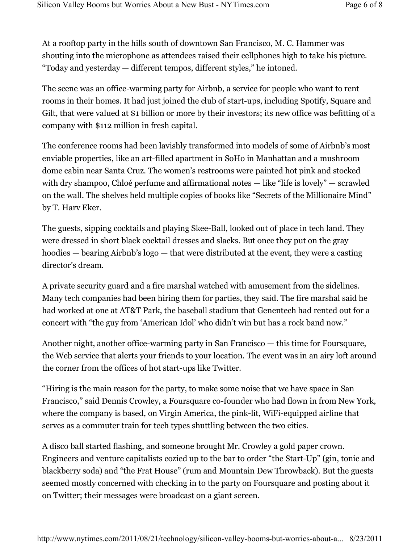At a rooftop party in the hills south of downtown San Francisco, M. C. Hammer was shouting into the microphone as attendees raised their cellphones high to take his picture. "Today and yesterday — different tempos, different styles," he intoned.

The scene was an office-warming party for Airbnb, a service for people who want to rent rooms in their homes. It had just joined the club of start-ups, including Spotify, Square and Gilt, that were valued at \$1 billion or more by their investors; its new office was befitting of a company with \$112 million in fresh capital.

The conference rooms had been lavishly transformed into models of some of Airbnb's most enviable properties, like an art-filled apartment in SoHo in Manhattan and a mushroom dome cabin near Santa Cruz. The women's restrooms were painted hot pink and stocked with dry shampoo, Chloé perfume and affirmational notes  $-$  like "life is lovely"  $-$  scrawled on the wall. The shelves held multiple copies of books like "Secrets of the Millionaire Mind" by T. Harv Eker.

The guests, sipping cocktails and playing Skee-Ball, looked out of place in tech land. They were dressed in short black cocktail dresses and slacks. But once they put on the gray hoodies  $-$  bearing Airbnb's logo  $-$  that were distributed at the event, they were a casting director's dream.

A private security guard and a fire marshal watched with amusement from the sidelines. Many tech companies had been hiring them for parties, they said. The fire marshal said he had worked at one at AT&T Park, the baseball stadium that Genentech had rented out for a concert with "the guy from 'American Idol' who didn't win but has a rock band now."

Another night, another office-warming party in San Francisco  $-$  this time for Foursquare, the Web service that alerts your friends to your location. The event was in an airy loft around the corner from the offices of hot start-ups like Twitter.

"Hiring is the main reason for the party, to make some noise that we have space in San Francisco," said Dennis Crowley, a Foursquare co-founder who had flown in from New York, where the company is based, on Virgin America, the pink-lit, WiFi-equipped airline that serves as a commuter train for tech types shuttling between the two cities.

A disco ball started flashing, and someone brought Mr. Crowley a gold paper crown. Engineers and venture capitalists cozied up to the bar to order "the Start-Up" (gin, tonic and blackberry soda) and "the Frat House" (rum and Mountain Dew Throwback). But the guests seemed mostly concerned with checking in to the party on Foursquare and posting about it on Twitter; their messages were broadcast on a giant screen.